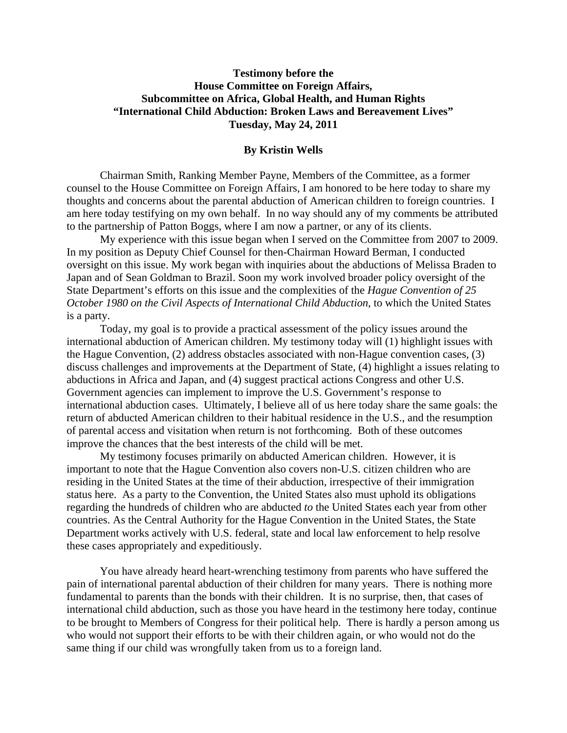# **Testimony before the House Committee on Foreign Affairs, Subcommittee on Africa, Global Health, and Human Rights "International Child Abduction: Broken Laws and Bereavement Lives" Tuesday, May 24, 2011**

## **By Kristin Wells**

 Chairman Smith, Ranking Member Payne, Members of the Committee, as a former counsel to the House Committee on Foreign Affairs, I am honored to be here today to share my thoughts and concerns about the parental abduction of American children to foreign countries. I am here today testifying on my own behalf. In no way should any of my comments be attributed to the partnership of Patton Boggs, where I am now a partner, or any of its clients.

My experience with this issue began when I served on the Committee from 2007 to 2009. In my position as Deputy Chief Counsel for then-Chairman Howard Berman, I conducted oversight on this issue. My work began with inquiries about the abductions of Melissa Braden to Japan and of Sean Goldman to Brazil. Soon my work involved broader policy oversight of the State Department's efforts on this issue and the complexities of the *Hague Convention of 25 October 1980 on the Civil Aspects of International Child Abduction*, to which the United States is a party.

 Today, my goal is to provide a practical assessment of the policy issues around the international abduction of American children. My testimony today will (1) highlight issues with the Hague Convention, (2) address obstacles associated with non-Hague convention cases, (3) discuss challenges and improvements at the Department of State, (4) highlight a issues relating to abductions in Africa and Japan, and (4) suggest practical actions Congress and other U.S. Government agencies can implement to improve the U.S. Government's response to international abduction cases. Ultimately, I believe all of us here today share the same goals: the return of abducted American children to their habitual residence in the U.S., and the resumption of parental access and visitation when return is not forthcoming. Both of these outcomes improve the chances that the best interests of the child will be met.

My testimony focuses primarily on abducted American children. However, it is important to note that the Hague Convention also covers non-U.S. citizen children who are residing in the United States at the time of their abduction, irrespective of their immigration status here. As a party to the Convention, the United States also must uphold its obligations regarding the hundreds of children who are abducted *to* the United States each year from other countries. As the Central Authority for the Hague Convention in the United States, the State Department works actively with U.S. federal, state and local law enforcement to help resolve these cases appropriately and expeditiously.

You have already heard heart-wrenching testimony from parents who have suffered the pain of international parental abduction of their children for many years. There is nothing more fundamental to parents than the bonds with their children. It is no surprise, then, that cases of international child abduction, such as those you have heard in the testimony here today, continue to be brought to Members of Congress for their political help. There is hardly a person among us who would not support their efforts to be with their children again, or who would not do the same thing if our child was wrongfully taken from us to a foreign land.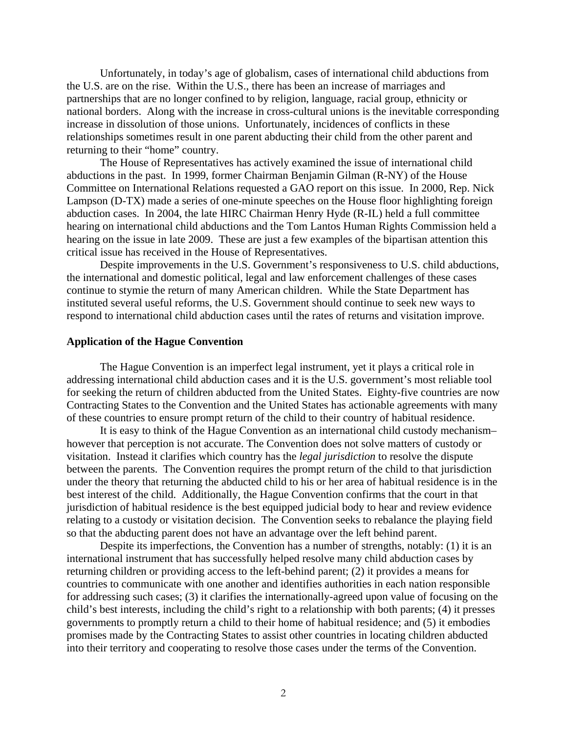Unfortunately, in today's age of globalism, cases of international child abductions from the U.S. are on the rise. Within the U.S., there has been an increase of marriages and partnerships that are no longer confined to by religion, language, racial group, ethnicity or national borders. Along with the increase in cross-cultural unions is the inevitable corresponding increase in dissolution of those unions. Unfortunately, incidences of conflicts in these relationships sometimes result in one parent abducting their child from the other parent and returning to their "home" country.

 The House of Representatives has actively examined the issue of international child abductions in the past. In 1999, former Chairman Benjamin Gilman (R-NY) of the House Committee on International Relations requested a GAO report on this issue. In 2000, Rep. Nick Lampson (D-TX) made a series of one-minute speeches on the House floor highlighting foreign abduction cases. In 2004, the late HIRC Chairman Henry Hyde (R-IL) held a full committee hearing on international child abductions and the Tom Lantos Human Rights Commission held a hearing on the issue in late 2009. These are just a few examples of the bipartisan attention this critical issue has received in the House of Representatives.

Despite improvements in the U.S. Government's responsiveness to U.S. child abductions, the international and domestic political, legal and law enforcement challenges of these cases continue to stymie the return of many American children. While the State Department has instituted several useful reforms, the U.S. Government should continue to seek new ways to respond to international child abduction cases until the rates of returns and visitation improve.

### **Application of the Hague Convention**

 The Hague Convention is an imperfect legal instrument, yet it plays a critical role in addressing international child abduction cases and it is the U.S. government's most reliable tool for seeking the return of children abducted from the United States. Eighty-five countries are now Contracting States to the Convention and the United States has actionable agreements with many of these countries to ensure prompt return of the child to their country of habitual residence.

It is easy to think of the Hague Convention as an international child custody mechanism– however that perception is not accurate. The Convention does not solve matters of custody or visitation. Instead it clarifies which country has the *legal jurisdiction* to resolve the dispute between the parents. The Convention requires the prompt return of the child to that jurisdiction under the theory that returning the abducted child to his or her area of habitual residence is in the best interest of the child. Additionally, the Hague Convention confirms that the court in that jurisdiction of habitual residence is the best equipped judicial body to hear and review evidence relating to a custody or visitation decision. The Convention seeks to rebalance the playing field so that the abducting parent does not have an advantage over the left behind parent.

 Despite its imperfections, the Convention has a number of strengths, notably: (1) it is an international instrument that has successfully helped resolve many child abduction cases by returning children or providing access to the left-behind parent; (2) it provides a means for countries to communicate with one another and identifies authorities in each nation responsible for addressing such cases; (3) it clarifies the internationally-agreed upon value of focusing on the child's best interests, including the child's right to a relationship with both parents; (4) it presses governments to promptly return a child to their home of habitual residence; and (5) it embodies promises made by the Contracting States to assist other countries in locating children abducted into their territory and cooperating to resolve those cases under the terms of the Convention.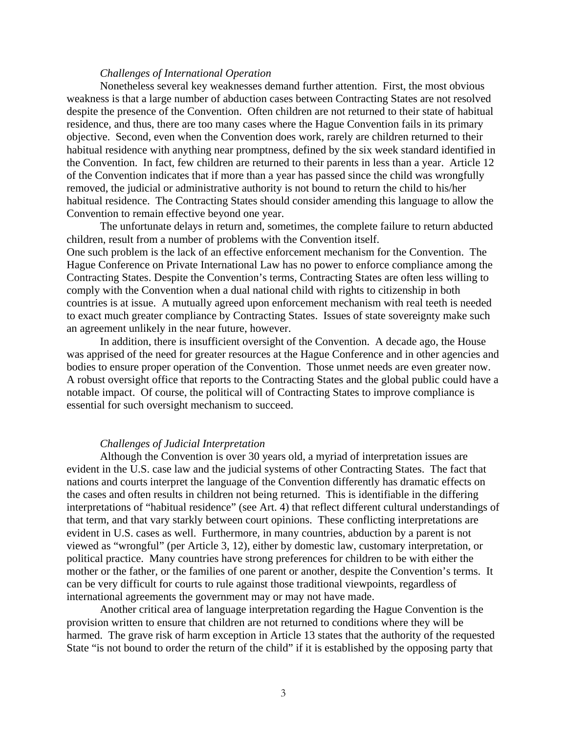# *Challenges of International Operation*

 Nonetheless several key weaknesses demand further attention. First, the most obvious weakness is that a large number of abduction cases between Contracting States are not resolved despite the presence of the Convention. Often children are not returned to their state of habitual residence, and thus, there are too many cases where the Hague Convention fails in its primary objective. Second, even when the Convention does work, rarely are children returned to their habitual residence with anything near promptness, defined by the six week standard identified in the Convention. In fact, few children are returned to their parents in less than a year. Article 12 of the Convention indicates that if more than a year has passed since the child was wrongfully removed, the judicial or administrative authority is not bound to return the child to his/her habitual residence. The Contracting States should consider amending this language to allow the Convention to remain effective beyond one year.

The unfortunate delays in return and, sometimes, the complete failure to return abducted children, result from a number of problems with the Convention itself. One such problem is the lack of an effective enforcement mechanism for the Convention. The Hague Conference on Private International Law has no power to enforce compliance among the Contracting States. Despite the Convention's terms, Contracting States are often less willing to comply with the Convention when a dual national child with rights to citizenship in both countries is at issue. A mutually agreed upon enforcement mechanism with real teeth is needed to exact much greater compliance by Contracting States. Issues of state sovereignty make such an agreement unlikely in the near future, however.

In addition, there is insufficient oversight of the Convention. A decade ago, the House was apprised of the need for greater resources at the Hague Conference and in other agencies and bodies to ensure proper operation of the Convention. Those unmet needs are even greater now. A robust oversight office that reports to the Contracting States and the global public could have a notable impact. Of course, the political will of Contracting States to improve compliance is essential for such oversight mechanism to succeed.

# *Challenges of Judicial Interpretation*

Although the Convention is over 30 years old, a myriad of interpretation issues are evident in the U.S. case law and the judicial systems of other Contracting States. The fact that nations and courts interpret the language of the Convention differently has dramatic effects on the cases and often results in children not being returned. This is identifiable in the differing interpretations of "habitual residence" (see Art. 4) that reflect different cultural understandings of that term, and that vary starkly between court opinions. These conflicting interpretations are evident in U.S. cases as well. Furthermore, in many countries, abduction by a parent is not viewed as "wrongful" (per Article 3, 12), either by domestic law, customary interpretation, or political practice. Many countries have strong preferences for children to be with either the mother or the father, or the families of one parent or another, despite the Convention's terms. It can be very difficult for courts to rule against those traditional viewpoints, regardless of international agreements the government may or may not have made.

Another critical area of language interpretation regarding the Hague Convention is the provision written to ensure that children are not returned to conditions where they will be harmed. The grave risk of harm exception in Article 13 states that the authority of the requested State "is not bound to order the return of the child" if it is established by the opposing party that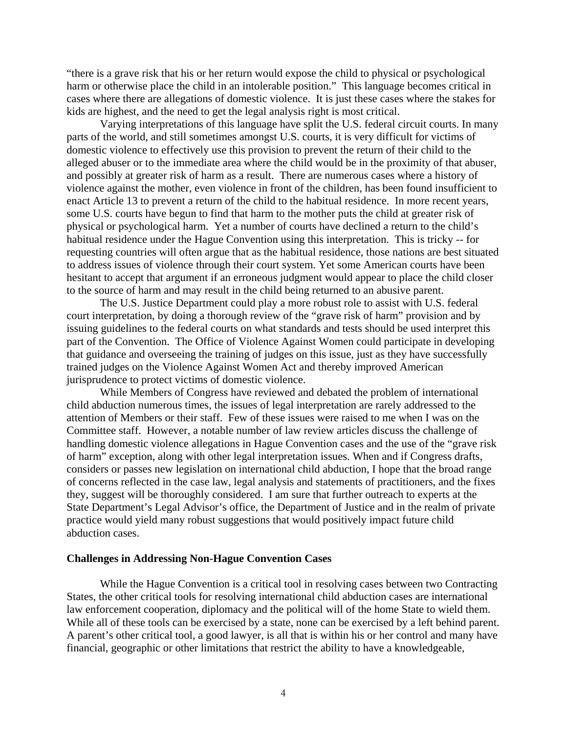"there is a grave risk that his or her return would expose the child to physical or psychological harm or otherwise place the child in an intolerable position." This language becomes critical in cases where there are allegations of domestic violence. It is just these cases where the stakes for kids are highest, and the need to get the legal analysis right is most critical.

Varying interpretations of this language have split the U.S. federal circuit courts. In many parts of the world, and still sometimes amongst U.S. courts, it is very difficult for victims of domestic violence to effectively use this provision to prevent the return of their child to the alleged abuser or to the immediate area where the child would be in the proximity of that abuser, and possibly at greater risk of harm as a result. There are numerous cases where a history of violence against the mother, even violence in front of the children, has been found insufficient to enact Article 13 to prevent a return of the child to the habitual residence. In more recent years, some U.S. courts have begun to find that harm to the mother puts the child at greater risk of physical or psychological harm. Yet a number of courts have declined a return to the child's habitual residence under the Hague Convention using this interpretation. This is tricky -- for requesting countries will often argue that as the habitual residence, those nations are best situated to address issues of violence through their court system. Yet some American courts have been hesitant to accept that argument if an erroneous judgment would appear to place the child closer to the source of harm and may result in the child being returned to an abusive parent.

The U.S. Justice Department could play a more robust role to assist with U.S. federal court interpretation, by doing a thorough review of the "grave risk of harm" provision and by issuing guidelines to the federal courts on what standards and tests should be used interpret this part of the Convention. The Office of Violence Against Women could participate in developing that guidance and overseeing the training of judges on this issue, just as they have successfully trained judges on the Violence Against Women Act and thereby improved American jurisprudence to protect victims of domestic violence.

While Members of Congress have reviewed and debated the problem of international child abduction numerous times, the issues of legal interpretation are rarely addressed to the attention of Members or their staff. Few of these issues were raised to me when I was on the Committee staff. However, a notable number of law review articles discuss the challenge of handling domestic violence allegations in Hague Convention cases and the use of the "grave risk of harm" exception, along with other legal interpretation issues. When and if Congress drafts, considers or passes new legislation on international child abduction, I hope that the broad range of concerns reflected in the case law, legal analysis and statements of practitioners, and the fixes they, suggest will be thoroughly considered. I am sure that further outreach to experts at the State Department's Legal Advisor's office, the Department of Justice and in the realm of private practice would yield many robust suggestions that would positively impact future child abduction cases.

#### **Challenges in Addressing Non-Hague Convention Cases**

 While the Hague Convention is a critical tool in resolving cases between two Contracting States, the other critical tools for resolving international child abduction cases are international law enforcement cooperation, diplomacy and the political will of the home State to wield them. While all of these tools can be exercised by a state, none can be exercised by a left behind parent. A parent's other critical tool, a good lawyer, is all that is within his or her control and many have financial, geographic or other limitations that restrict the ability to have a knowledgeable,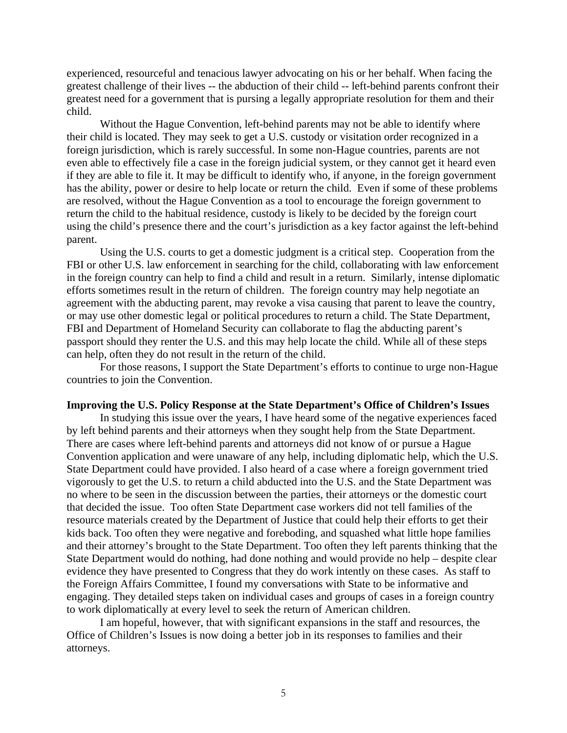experienced, resourceful and tenacious lawyer advocating on his or her behalf. When facing the greatest challenge of their lives -- the abduction of their child -- left-behind parents confront their greatest need for a government that is pursing a legally appropriate resolution for them and their child.

 Without the Hague Convention, left-behind parents may not be able to identify where their child is located. They may seek to get a U.S. custody or visitation order recognized in a foreign jurisdiction, which is rarely successful. In some non-Hague countries, parents are not even able to effectively file a case in the foreign judicial system, or they cannot get it heard even if they are able to file it. It may be difficult to identify who, if anyone, in the foreign government has the ability, power or desire to help locate or return the child. Even if some of these problems are resolved, without the Hague Convention as a tool to encourage the foreign government to return the child to the habitual residence, custody is likely to be decided by the foreign court using the child's presence there and the court's jurisdiction as a key factor against the left-behind parent.

 Using the U.S. courts to get a domestic judgment is a critical step. Cooperation from the FBI or other U.S. law enforcement in searching for the child, collaborating with law enforcement in the foreign country can help to find a child and result in a return. Similarly, intense diplomatic efforts sometimes result in the return of children. The foreign country may help negotiate an agreement with the abducting parent, may revoke a visa causing that parent to leave the country, or may use other domestic legal or political procedures to return a child. The State Department, FBI and Department of Homeland Security can collaborate to flag the abducting parent's passport should they renter the U.S. and this may help locate the child. While all of these steps can help, often they do not result in the return of the child.

 For those reasons, I support the State Department's efforts to continue to urge non-Hague countries to join the Convention.

#### **Improving the U.S. Policy Response at the State Department's Office of Children's Issues**

In studying this issue over the years, I have heard some of the negative experiences faced by left behind parents and their attorneys when they sought help from the State Department. There are cases where left-behind parents and attorneys did not know of or pursue a Hague Convention application and were unaware of any help, including diplomatic help, which the U.S. State Department could have provided. I also heard of a case where a foreign government tried vigorously to get the U.S. to return a child abducted into the U.S. and the State Department was no where to be seen in the discussion between the parties, their attorneys or the domestic court that decided the issue. Too often State Department case workers did not tell families of the resource materials created by the Department of Justice that could help their efforts to get their kids back. Too often they were negative and foreboding, and squashed what little hope families and their attorney's brought to the State Department. Too often they left parents thinking that the State Department would do nothing, had done nothing and would provide no help – despite clear evidence they have presented to Congress that they do work intently on these cases. As staff to the Foreign Affairs Committee, I found my conversations with State to be informative and engaging. They detailed steps taken on individual cases and groups of cases in a foreign country to work diplomatically at every level to seek the return of American children.

I am hopeful, however, that with significant expansions in the staff and resources, the Office of Children's Issues is now doing a better job in its responses to families and their attorneys.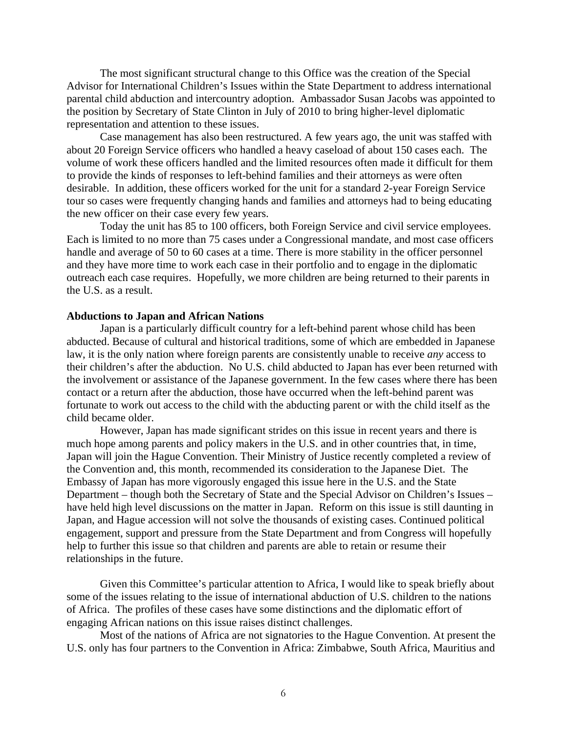The most significant structural change to this Office was the creation of the Special Advisor for International Children's Issues within the State Department to address international parental child abduction and intercountry adoption. Ambassador Susan Jacobs was appointed to the position by Secretary of State Clinton in July of 2010 to bring higher-level diplomatic representation and attention to these issues.

Case management has also been restructured. A few years ago, the unit was staffed with about 20 Foreign Service officers who handled a heavy caseload of about 150 cases each. The volume of work these officers handled and the limited resources often made it difficult for them to provide the kinds of responses to left-behind families and their attorneys as were often desirable. In addition, these officers worked for the unit for a standard 2-year Foreign Service tour so cases were frequently changing hands and families and attorneys had to being educating the new officer on their case every few years.

Today the unit has 85 to 100 officers, both Foreign Service and civil service employees. Each is limited to no more than 75 cases under a Congressional mandate, and most case officers handle and average of 50 to 60 cases at a time. There is more stability in the officer personnel and they have more time to work each case in their portfolio and to engage in the diplomatic outreach each case requires. Hopefully, we more children are being returned to their parents in the U.S. as a result.

### **Abductions to Japan and African Nations**

Japan is a particularly difficult country for a left-behind parent whose child has been abducted. Because of cultural and historical traditions, some of which are embedded in Japanese law, it is the only nation where foreign parents are consistently unable to receive *any* access to their children's after the abduction. No U.S. child abducted to Japan has ever been returned with the involvement or assistance of the Japanese government. In the few cases where there has been contact or a return after the abduction, those have occurred when the left-behind parent was fortunate to work out access to the child with the abducting parent or with the child itself as the child became older.

However, Japan has made significant strides on this issue in recent years and there is much hope among parents and policy makers in the U.S. and in other countries that, in time, Japan will join the Hague Convention. Their Ministry of Justice recently completed a review of the Convention and, this month, recommended its consideration to the Japanese Diet. The Embassy of Japan has more vigorously engaged this issue here in the U.S. and the State Department – though both the Secretary of State and the Special Advisor on Children's Issues – have held high level discussions on the matter in Japan. Reform on this issue is still daunting in Japan, and Hague accession will not solve the thousands of existing cases. Continued political engagement, support and pressure from the State Department and from Congress will hopefully help to further this issue so that children and parents are able to retain or resume their relationships in the future.

Given this Committee's particular attention to Africa, I would like to speak briefly about some of the issues relating to the issue of international abduction of U.S. children to the nations of Africa. The profiles of these cases have some distinctions and the diplomatic effort of engaging African nations on this issue raises distinct challenges.

 Most of the nations of Africa are not signatories to the Hague Convention. At present the U.S. only has four partners to the Convention in Africa: Zimbabwe, South Africa, Mauritius and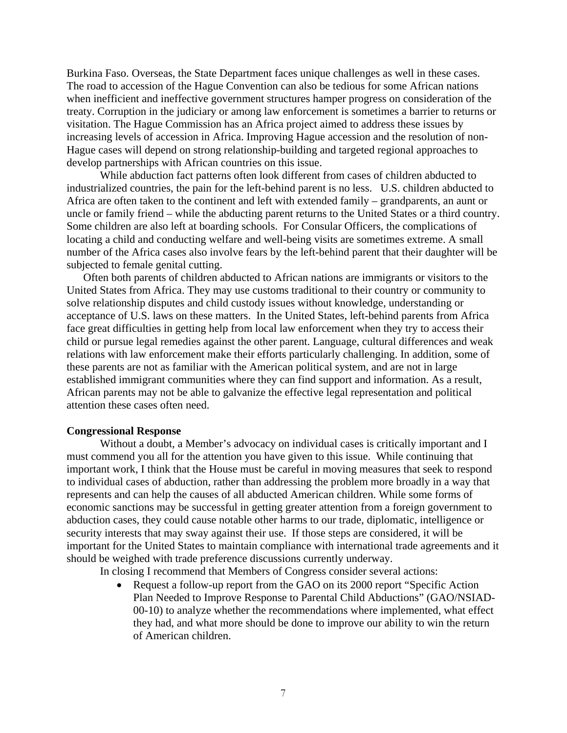Burkina Faso. Overseas, the State Department faces unique challenges as well in these cases. The road to accession of the Hague Convention can also be tedious for some African nations when inefficient and ineffective government structures hamper progress on consideration of the treaty. Corruption in the judiciary or among law enforcement is sometimes a barrier to returns or visitation. The Hague Commission has an Africa project aimed to address these issues by increasing levels of accession in Africa. Improving Hague accession and the resolution of non-Hague cases will depend on strong relationship-building and targeted regional approaches to develop partnerships with African countries on this issue.

 While abduction fact patterns often look different from cases of children abducted to industrialized countries, the pain for the left-behind parent is no less. U.S. children abducted to Africa are often taken to the continent and left with extended family – grandparents, an aunt or uncle or family friend – while the abducting parent returns to the United States or a third country. Some children are also left at boarding schools. For Consular Officers, the complications of locating a child and conducting welfare and well-being visits are sometimes extreme. A small number of the Africa cases also involve fears by the left-behind parent that their daughter will be subjected to female genital cutting.

Often both parents of children abducted to African nations are immigrants or visitors to the United States from Africa. They may use customs traditional to their country or community to solve relationship disputes and child custody issues without knowledge, understanding or acceptance of U.S. laws on these matters. In the United States, left-behind parents from Africa face great difficulties in getting help from local law enforcement when they try to access their child or pursue legal remedies against the other parent. Language, cultural differences and weak relations with law enforcement make their efforts particularly challenging. In addition, some of these parents are not as familiar with the American political system, and are not in large established immigrant communities where they can find support and information. As a result, African parents may not be able to galvanize the effective legal representation and political attention these cases often need.

#### **Congressional Response**

Without a doubt, a Member's advocacy on individual cases is critically important and I must commend you all for the attention you have given to this issue. While continuing that important work, I think that the House must be careful in moving measures that seek to respond to individual cases of abduction, rather than addressing the problem more broadly in a way that represents and can help the causes of all abducted American children. While some forms of economic sanctions may be successful in getting greater attention from a foreign government to abduction cases, they could cause notable other harms to our trade, diplomatic, intelligence or security interests that may sway against their use. If those steps are considered, it will be important for the United States to maintain compliance with international trade agreements and it should be weighed with trade preference discussions currently underway.

In closing I recommend that Members of Congress consider several actions:

• Request a follow-up report from the GAO on its 2000 report "Specific Action" Plan Needed to Improve Response to Parental Child Abductions" (GAO/NSIAD-00-10) to analyze whether the recommendations where implemented, what effect they had, and what more should be done to improve our ability to win the return of American children.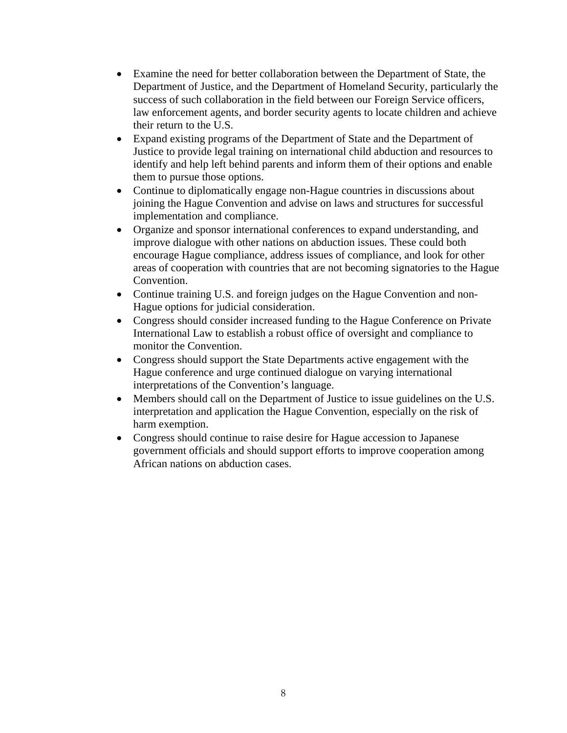- Examine the need for better collaboration between the Department of State, the Department of Justice, and the Department of Homeland Security, particularly the success of such collaboration in the field between our Foreign Service officers, law enforcement agents, and border security agents to locate children and achieve their return to the U.S.
- Expand existing programs of the Department of State and the Department of Justice to provide legal training on international child abduction and resources to identify and help left behind parents and inform them of their options and enable them to pursue those options.
- Continue to diplomatically engage non-Hague countries in discussions about joining the Hague Convention and advise on laws and structures for successful implementation and compliance.
- Organize and sponsor international conferences to expand understanding, and improve dialogue with other nations on abduction issues. These could both encourage Hague compliance, address issues of compliance, and look for other areas of cooperation with countries that are not becoming signatories to the Hague Convention.
- Continue training U.S. and foreign judges on the Hague Convention and non-Hague options for judicial consideration.
- Congress should consider increased funding to the Hague Conference on Private International Law to establish a robust office of oversight and compliance to monitor the Convention.
- Congress should support the State Departments active engagement with the Hague conference and urge continued dialogue on varying international interpretations of the Convention's language.
- Members should call on the Department of Justice to issue guidelines on the U.S. interpretation and application the Hague Convention, especially on the risk of harm exemption.
- Congress should continue to raise desire for Hague accession to Japanese government officials and should support efforts to improve cooperation among African nations on abduction cases.